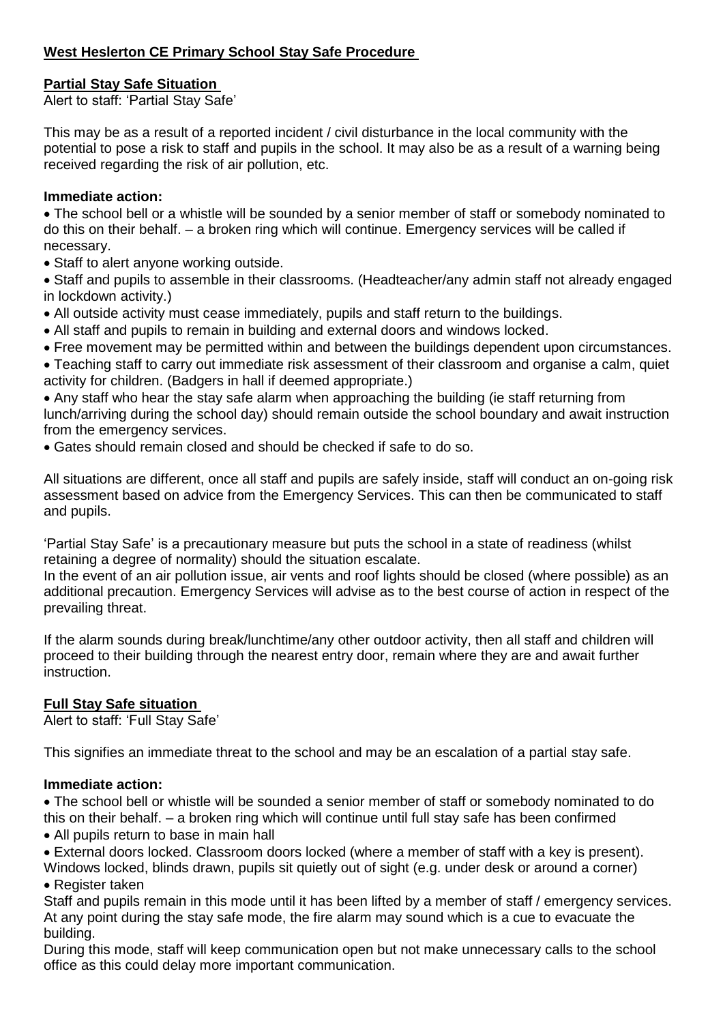# **West Heslerton CE Primary School Stay Safe Procedure**

# **Partial Stay Safe Situation**

Alert to staff: 'Partial Stay Safe'

This may be as a result of a reported incident / civil disturbance in the local community with the potential to pose a risk to staff and pupils in the school. It may also be as a result of a warning being received regarding the risk of air pollution, etc.

## **Immediate action:**

• The school bell or a whistle will be sounded by a senior member of staff or somebody nominated to do this on their behalf. – a broken ring which will continue. Emergency services will be called if necessary.

- Staff to alert anyone working outside.
- Staff and pupils to assemble in their classrooms. (Headteacher/any admin staff not already engaged in lockdown activity.)
- All outside activity must cease immediately, pupils and staff return to the buildings.
- All staff and pupils to remain in building and external doors and windows locked.
- Free movement may be permitted within and between the buildings dependent upon circumstances.

• Teaching staff to carry out immediate risk assessment of their classroom and organise a calm, quiet activity for children. (Badgers in hall if deemed appropriate.)

• Any staff who hear the stay safe alarm when approaching the building (ie staff returning from lunch/arriving during the school day) should remain outside the school boundary and await instruction from the emergency services.

• Gates should remain closed and should be checked if safe to do so.

All situations are different, once all staff and pupils are safely inside, staff will conduct an on-going risk assessment based on advice from the Emergency Services. This can then be communicated to staff and pupils.

'Partial Stay Safe' is a precautionary measure but puts the school in a state of readiness (whilst retaining a degree of normality) should the situation escalate.

In the event of an air pollution issue, air vents and roof lights should be closed (where possible) as an additional precaution. Emergency Services will advise as to the best course of action in respect of the prevailing threat.

If the alarm sounds during break/lunchtime/any other outdoor activity, then all staff and children will proceed to their building through the nearest entry door, remain where they are and await further instruction.

# **Full Stay Safe situation**

Alert to staff: 'Full Stay Safe'

This signifies an immediate threat to the school and may be an escalation of a partial stay safe.

### **Immediate action:**

• The school bell or whistle will be sounded a senior member of staff or somebody nominated to do this on their behalf. – a broken ring which will continue until full stay safe has been confirmed

• All pupils return to base in main hall

• External doors locked. Classroom doors locked (where a member of staff with a key is present).

Windows locked, blinds drawn, pupils sit quietly out of sight (e.g. under desk or around a corner) • Register taken

Staff and pupils remain in this mode until it has been lifted by a member of staff / emergency services. At any point during the stay safe mode, the fire alarm may sound which is a cue to evacuate the building.

During this mode, staff will keep communication open but not make unnecessary calls to the school office as this could delay more important communication.